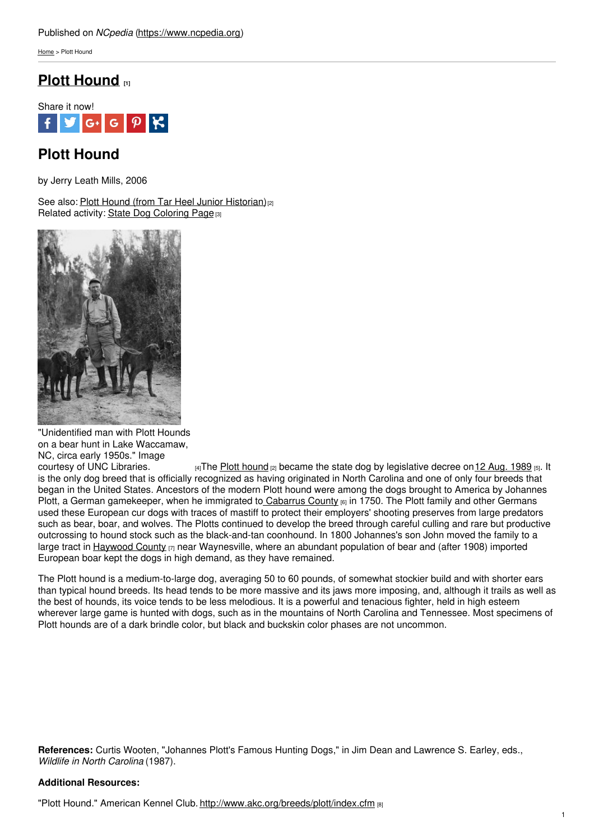[Home](https://www.ncpedia.org/) > Plott Hound

## **Plott [Hound](https://www.ncpedia.org/plott-hound) [1]**



# **Plott Hound**

by Jerry Leath Mills, 2006

See also: Plott Hound (from Tar Heel Junior [Historian\)](https://www.ncpedia.org/symbols/dog)<sup>[2]</sup> Related activity: State Dog [Coloring](https://www.ncpedia.org/sites/default/files/print_pdf/NCpedia_Plott_Hound_coloring_page.pdf) Page [3]



<sup>&</sup>quot;Unidentified man with Plott Hounds on a bear hunt in Lake Waccamaw, NC, circa early 1950s." Image

courtesy of UNC [Libraries.](http://www.lib.unc.edu/blogs/morton/index.php/2008/02/of-fine-nose-and-beautiful-voice/unidentified-man-with-plott-hounds-on-a-bear-hunt-in-lake-waccamaw-nc-circa-early-1950s/)  $\frac{4}{14}$ The Plott [hound](https://www.ncpedia.org/symbols/dog)  $\frac{1}{2}$  became the state dog by legislative decree on 12 Aug. [1989](https://www.ncleg.net/EnactedLegislation/SessionLaws/HTML/1989-1990/SL1989-773.html) [5]. It is the only dog breed that is officially recognized as having originated in North Carolina and one of only four breeds that began in the United States. Ancestors of the modern Plott hound were among the dogs brought to America by Johannes Plott, a German gamekeeper, when he immigrated to [Cabarrus](https://www.ncpedia.org/geography/cabarrus) County 60 in 1750. The Plott family and other Germans used these European cur dogs with traces of mastiff to protect their employers' shooting preserves from large predators such as bear, boar, and wolves. The Plotts continued to develop the breed through careful culling and rare but productive outcrossing to hound stock such as the black-and-tan coonhound. In 1800 Johannes's son John moved the family to a large tract in [Haywood](https://www.ncpedia.org/geography/haywood) County [7] near Waynesville, where an abundant population of bear and (after 1908) imported European boar kept the dogs in high demand, as they have remained.

The Plott hound is a medium-to-large dog, averaging 50 to 60 pounds, of somewhat stockier build and with shorter ears than typical hound breeds. Its head tends to be more massive and its jaws more imposing, and, although it trails as well as the best of hounds, its voice tends to be less melodious. It is a powerful and tenacious fighter, held in high esteem wherever large game is hunted with dogs, such as in the mountains of North Carolina and Tennessee. Most specimens of Plott hounds are of a dark brindle color, but black and buckskin color phases are not uncommon.

**References:** Curtis Wooten, "Johannes Plott's Famous Hunting Dogs," in Jim Dean and Lawrence S. Earley, eds., *Wildlife in North Carolina* (1987).

### **Additional Resources:**

"Plott Hound." American Kennel Club. <http://www.akc.org/breeds/plott/index.cfm> [8]